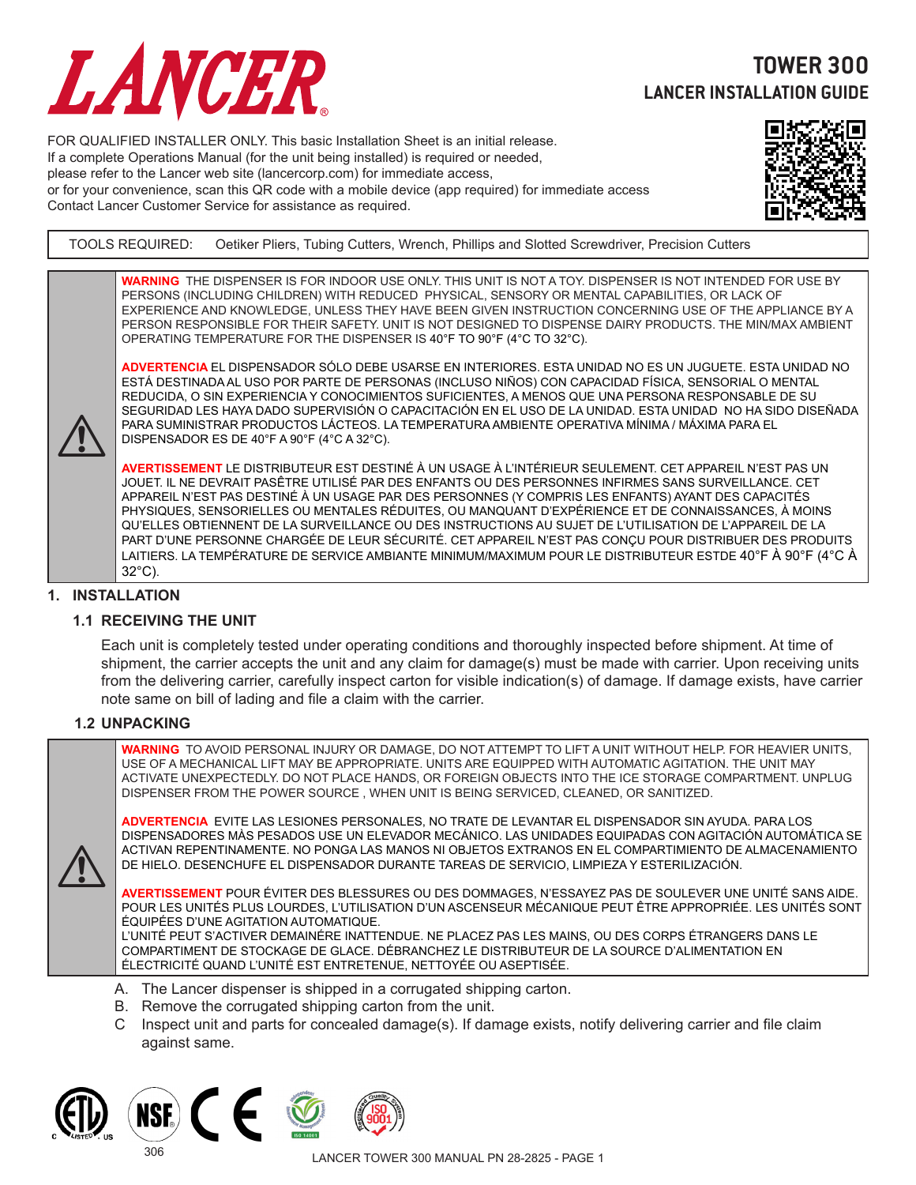

# **TOWER 300 LANCER INSTALLATION GUIDE**

FOR QUALIFIED INSTALLER ONLY. This basic Installation Sheet is an initial release. If a complete Operations Manual (for the unit being installed) is required or needed, please refer to the Lancer web site (lancercorp.com) for immediate access, or for your convenience, scan this QR code with a mobile device (app required) for immediate access Contact Lancer Customer Service for assistance as required.



TOOLS REQUIRED: Oetiker Pliers, Tubing Cutters, Wrench, Phillips and Slotted Screwdriver, Precision Cutters

**WARNING** THE DISPENSER IS FOR INDOOR USE ONLY. THIS UNIT IS NOT A TOY. DISPENSER IS NOT INTENDED FOR USE BY PERSONS (INCLUDING CHILDREN) WITH REDUCED PHYSICAL, SENSORY OR MENTAL CAPABILITIES, OR LACK OF EXPERIENCE AND KNOWLEDGE, UNLESS THEY HAVE BEEN GIVEN INSTRUCTION CONCERNING USE OF THE APPLIANCE BY A PERSON RESPONSIBLE FOR THEIR SAFETY. UNIT IS NOT DESIGNED TO DISPENSE DAIRY PRODUCTS. THE MIN/MAX AMBIENT OPERATING TEMPERATURE FOR THE DISPENSER IS 40°F TO 90°F (4°C TO 32°C).

**ADVERTENCIA** EL DISPENSADOR SÓLO DEBE USARSE EN INTERIORES. ESTA UNIDAD NO ES UN JUGUETE. ESTA UNIDAD NO ESTÁ DESTINADA AL USO POR PARTE DE PERSONAS (INCLUSO NIÑOS) CON CAPACIDAD FÍSICA, SENSORIAL O MENTAL REDUCIDA, O SIN EXPERIENCIA Y CONOCIMIENTOS SUFICIENTES, A MENOS QUE UNA PERSONA RESPONSABLE DE SU SEGURIDAD LES HAYA DADO SUPERVISIÓN O CAPACITACIÓN EN EL USO DE LA UNIDAD. ESTA UNIDAD NO HA SIDO DISEÑADA PARA SUMINISTRAR PRODUCTOS LÁCTEOS. LA TEMPERATURA AMBIENTE OPERATIVA MÍNIMA / MÁXIMA PARA EL DISPENSADOR ES DE 40°F A 90°F (4°C A 32°C).

**AVERTISSEMENT** LE DISTRIBUTEUR EST DESTINÉ À UN USAGE À L'INTÉRIEUR SEULEMENT. CET APPAREIL N'EST PAS UN JOUET. IL NE DEVRAIT PASÊTRE UTILISÉ PAR DES ENFANTS OU DES PERSONNES INFIRMES SANS SURVEILLANCE. CET APPAREIL N'EST PAS DESTINÉ À UN USAGE PAR DES PERSONNES (Y COMPRIS LES ENFANTS) AYANT DES CAPACITÉS PHYSIQUES, SENSORIELLES OU MENTALES RÉDUITES, OU MANQUANT D'EXPÉRIENCE ET DE CONNAISSANCES, À MOINS QU'ELLES OBTIENNENT DE LA SURVEILLANCE OU DES INSTRUCTIONS AU SUJET DE L'UTILISATION DE L'APPAREIL DE LA PART D'UNE PERSONNE CHARGÉE DE LEUR SÉCURITÉ. CET APPAREIL N'EST PAS CONÇU POUR DISTRIBUER DES PRODUITS LAITIERS. LA TEMPÉRATURE DE SERVICE AMBIANTE MINIMUM/MAXIMUM POUR LE DISTRIBUTEUR ESTDE 40°F À 90°F (4°C À 32°C).

#### **1. INSTALLATION**

 $\triangle$ 

# **1.1 RECEIVING THE UNIT**

Each unit is completely tested under operating conditions and thoroughly inspected before shipment. At time of shipment, the carrier accepts the unit and any claim for damage(s) must be made with carrier. Upon receiving units from the delivering carrier, carefully inspect carton for visible indication(s) of damage. If damage exists, have carrier note same on bill of lading and file a claim with the carrier.

#### **1.2 UNPACKING**

**WARNING** TO AVOID PERSONAL INJURY OR DAMAGE, DO NOT ATTEMPT TO LIFT A UNIT WITHOUT HELP. FOR HEAVIER UNITS, USE OF A MECHANICAL LIFT MAY BE APPROPRIATE. UNITS ARE EQUIPPED WITH AUTOMATIC AGITATION. THE UNIT MAY ACTIVATE UNEXPECTEDLY. DO NOT PLACE HANDS, OR FOREIGN OBJECTS INTO THE ICE STORAGE COMPARTMENT. UNPLUG DISPENSER FROM THE POWER SOURCE , WHEN UNIT IS BEING SERVICED, CLEANED, OR SANITIZED.

**ADVERTENCIA** EVITE LAS LESIONES PERSONALES, NO TRATE DE LEVANTAR EL DISPENSADOR SIN AYUDA. PARA LOS DISPENSADORES MÀS PESADOS USE UN ELEVADOR MECÁNICO. LAS UNIDADES EQUIPADAS CON AGITACIÓN AUTOMÁTICA SE ACTIVAN REPENTINAMENTE. NO PONGA LAS MANOS NI OBJETOS EXTRANOS EN EL COMPARTIMIENTO DE ALMACENAMIENTO DE HIELO. DESENCHUFE EL DISPENSADOR DURANTE TAREAS DE SERVICIO, LIMPIEZA Y ESTERILIZACIÓN.

**AVERTISSEMENT** POUR ÉVITER DES BLESSURES OU DES DOMMAGES, N'ESSAYEZ PAS DE SOULEVER UNE UNITÉ SANS AIDE. POUR LES UNITÉS PLUS LOURDES, L'UTILISATION D'UN ASCENSEUR MÉCANIQUE PEUT ÊTRE APPROPRIÉE. LES UNITÉS SONT ÉQUIPÉES D'UNE AGITATION AUTOMATIQUE.

L'UNITÉ PEUT S'ACTIVER DEMAINÉRE INATTENDUE. NE PLACEZ PAS LES MAINS, OU DES CORPS ÉTRANGERS DANS LE COMPARTIMENT DE STOCKAGE DE GLACE. DÉBRANCHEZ LE DISTRIBUTEUR DE LA SOURCE D'ALIMENTATION EN ÉLECTRICITÉ QUAND L'UNITÉ EST ENTRETENUE, NETTOYÉE OU ASEPTISÉE.

- A. The Lancer dispenser is shipped in a corrugated shipping carton.
- B. Remove the corrugated shipping carton from the unit.
- C Inspect unit and parts for concealed damage(s). If damage exists, notify delivering carrier and file claim against same.



 $\triangle$ 



306



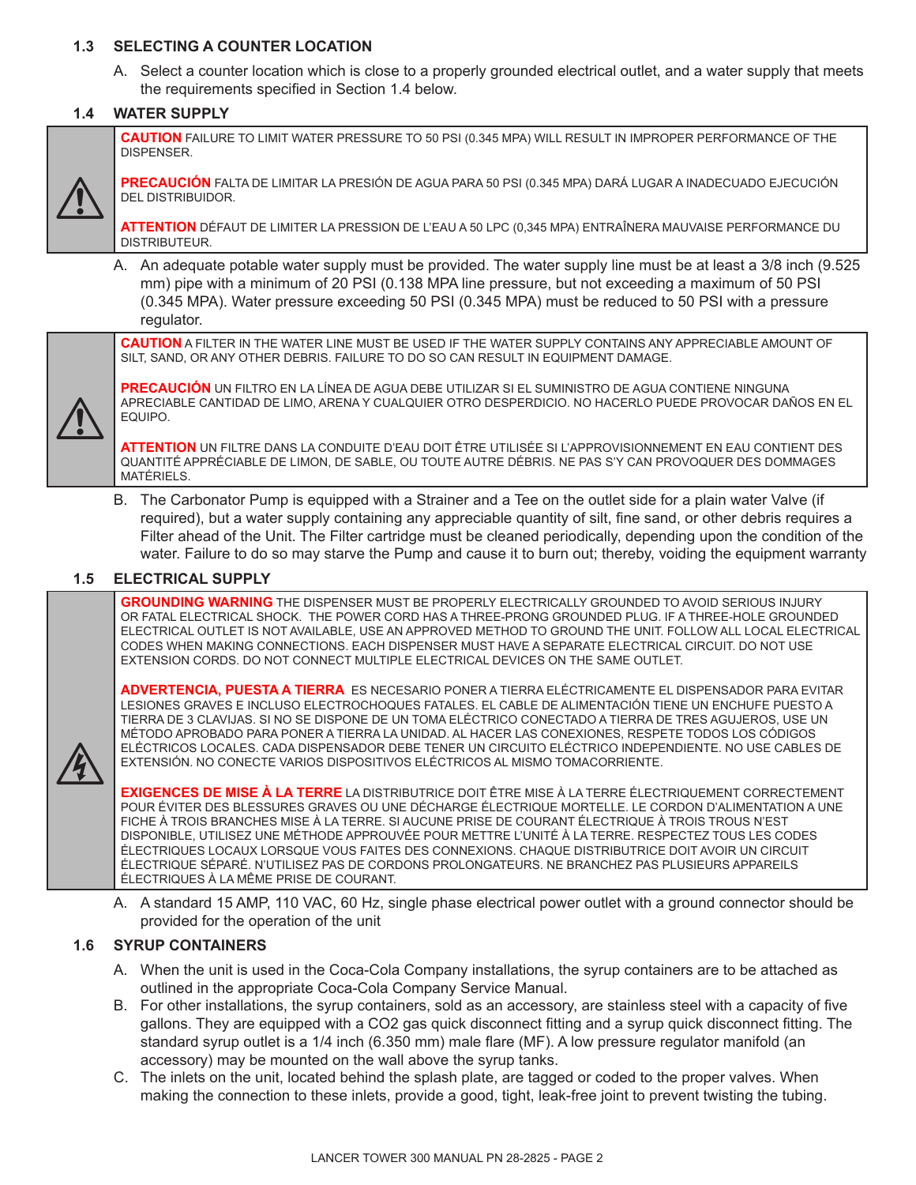# **1.3 SELECTING A COUNTER LOCATION**

 A. Select a counter location which is close to a properly grounded electrical outlet, and a water supply that meets the requirements specified in Section 1.4 below.

# **1.4 WATER SUPPLY**



**CAUTION** FAILURE TO LIMIT WATER PRESSURE TO 50 PSI (0.345 MPA) WILL RESULT IN IMPROPER PERFORMANCE OF THE DISPENSER.

**PRECAUCIÓN** FALTA DE LIMITAR LA PRESIÓN DE AGUA PARA 50 PSI (0.345 MPA) DARÁ LUGAR A INADECUADO EJECUCIÓN DEL DISTRIBUIDOR.

**ATTENTION** DÉFAUT DE LIMITER LA PRESSION DE L'EAU A 50 LPC (0,345 MPA) ENTRAÎNERA MAUVAISE PERFORMANCE DU DISTRIBUTEUR.

 A. An adequate potable water supply must be provided. The water supply line must be at least a 3/8 inch (9.525 mm) pipe with a minimum of 20 PSI (0.138 MPA line pressure, but not exceeding a maximum of 50 PSI (0.345 MPA). Water pressure exceeding 50 PSI (0.345 MPA) must be reduced to 50 PSI with a pressure regulator.

**CAUTION** A FILTER IN THE WATER LINE MUST BE USED IF THE WATER SUPPLY CONTAINS ANY APPRECIABLE AMOUNT OF SILT, SAND, OR ANY OTHER DEBRIS. FAILURE TO DO SO CAN RESULT IN EQUIPMENT DAMAGE.



 $\mathbb{A}$ 

**PRECAUCIÓN** UN FILTRO EN LA LÍNEA DE AGUA DEBE UTILIZAR SI EL SUMINISTRO DE AGUA CONTIENE NINGUNA APRECIABLE CANTIDAD DE LIMO, ARENA Y CUALQUIER OTRO DESPERDICIO. NO HACERLO PUEDE PROVOCAR DAÑOS EN EL EQUIPO.

**ATTENTION** UN FILTRE DANS LA CONDUITE D'EAU DOIT ÊTRE UTILISÉE SI L'APPROVISIONNEMENT EN EAU CONTIENT DES QUANTITÉ APPRÉCIABLE DE LIMON, DE SABLE, OU TOUTE AUTRE DÉBRIS. NE PAS S'Y CAN PROVOQUER DES DOMMAGES MATÉRIELS.

 B. The Carbonator Pump is equipped with a Strainer and a Tee on the outlet side for a plain water Valve (if required), but a water supply containing any appreciable quantity of silt, fine sand, or other debris requires a Filter ahead of the Unit. The Filter cartridge must be cleaned periodically, depending upon the condition of the water. Failure to do so may starve the Pump and cause it to burn out; thereby, voiding the equipment warranty

#### **1.5 ELECTRICAL SUPPLY**

**GROUNDING WARNING** THE DISPENSER MUST BE PROPERLY ELECTRICALLY GROUNDED TO AVOID SERIOUS INJURY OR FATAL ELECTRICAL SHOCK. THE POWER CORD HAS A THREE-PRONG GROUNDED PLUG. IF A THREE-HOLE GROUNDED ELECTRICAL OUTLET IS NOT AVAILABLE, USE AN APPROVED METHOD TO GROUND THE UNIT. FOLLOW ALL LOCAL ELECTRICAL CODES WHEN MAKING CONNECTIONS. EACH DISPENSER MUST HAVE A SEPARATE ELECTRICAL CIRCUIT. DO NOT USE EXTENSION CORDS. DO NOT CONNECT MULTIPLE ELECTRICAL DEVICES ON THE SAME OUTLET.

**ADVERTENCIA, PUESTA A TIERRA** ES NECESARIO PONER A TIERRA ELÉCTRICAMENTE EL DISPENSADOR PARA EVITAR LESIONES GRAVES E INCLUSO ELECTROCHOQUES FATALES. EL CABLE DE ALIMENTACIÓN TIENE UN ENCHUFE PUESTO A TIERRA DE 3 CLAVIJAS. SI NO SE DISPONE DE UN TOMA ELÉCTRICO CONECTADO A TIERRA DE TRES AGUJEROS, USE UN MÉTODO APROBADO PARA PONER A TIERRA LA UNIDAD. AL HACER LAS CONEXIONES, RESPETE TODOS LOS CÓDIGOS ELÉCTRICOS LOCALES. CADA DISPENSADOR DEBE TENER UN CIRCUITO ELÉCTRICO INDEPENDIENTE. NO USE CABLES DE EXTENSIÓN. NO CONECTE VARIOS DISPOSITIVOS ELÉCTRICOS AL MISMO TOMACORRIENTE.

**EXIGENCES DE MISE À LA TERRE** LA DISTRIBUTRICE DOIT ÊTRE MISE À LA TERRE ÉLECTRIQUEMENT CORRECTEMENT POUR ÉVITER DES BLESSURES GRAVES OU UNE DÉCHARGE ÉLECTRIQUE MORTELLE. LE CORDON D'ALIMENTATION A UNE FICHE À TROIS BRANCHES MISE À LA TERRE. SI AUCUNE PRISE DE COURANT ÉLECTRIQUE À TROIS TROUS N'EST DISPONIBLE, UTILISEZ UNE MÉTHODE APPROUVÉE POUR METTRE L'UNITÉ À LA TERRE. RESPECTEZ TOUS LES CODES ÉLECTRIQUES LOCAUX LORSQUE VOUS FAITES DES CONNEXIONS. CHAQUE DISTRIBUTRICE DOIT AVOIR UN CIRCUIT ÉLECTRIQUE SÉPARÉ. N'UTILISEZ PAS DE CORDONS PROLONGATEURS. NE BRANCHEZ PAS PLUSIEURS APPAREILS ÉLECTRIQUES À LA MÊME PRISE DE COURANT.

 A. A standard 15 AMP, 110 VAC, 60 Hz, single phase electrical power outlet with a ground connector should be provided for the operation of the unit

# **1.6 SYRUP CONTAINERS**

- A. When the unit is used in the Coca-Cola Company installations, the syrup containers are to be attached as outlined in the appropriate Coca-Cola Company Service Manual.
- B. For other installations, the syrup containers, sold as an accessory, are stainless steel with a capacity of five gallons. They are equipped with a CO2 gas quick disconnect fitting and a syrup quick disconnect fitting. The standard syrup outlet is a 1/4 inch (6.350 mm) male flare (MF). A low pressure regulator manifold (an accessory) may be mounted on the wall above the syrup tanks.
- C. The inlets on the unit, located behind the splash plate, are tagged or coded to the proper valves. When making the connection to these inlets, provide a good, tight, leak-free joint to prevent twisting the tubing.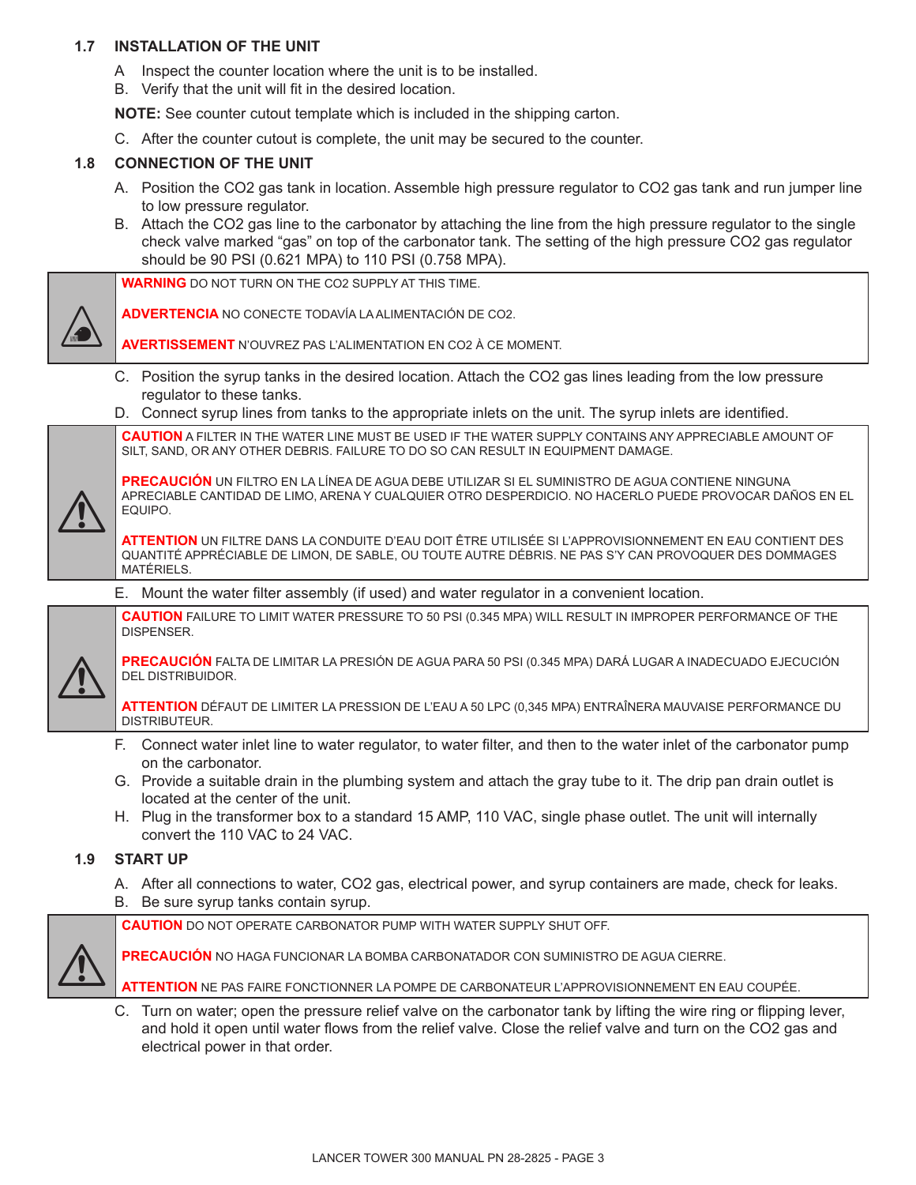### **1.7 INSTALLATION OF THE UNIT**

- A Inspect the counter location where the unit is to be installed.
- B. Verify that the unit will fit in the desired location.

**NOTE:** See counter cutout template which is included in the shipping carton.

C. After the counter cutout is complete, the unit may be secured to the counter.

#### **1.8 CONNECTION OF THE UNIT**

- A. Position the CO2 gas tank in location. Assemble high pressure regulator to CO2 gas tank and run jumper line to low pressure regulator.
- B. Attach the CO2 gas line to the carbonator by attaching the line from the high pressure regulator to the single check valve marked "gas" on top of the carbonator tank. The setting of the high pressure CO2 gas regulator should be 90 PSI (0.621 MPA) to 110 PSI (0.758 MPA).

**WARNING** DO NOT TURN ON THE CO2 SUPPLY AT THIS TIME.

**ADVERTENCIA** NO CONECTE TODAVÍA LA ALIMENTACIÓN DE CO2.

**AVERTISSEMENT** N'OUVREZ PAS L'ALIMENTATION EN CO2 À CE MOMENT.

- C. Position the syrup tanks in the desired location. Attach the CO2 gas lines leading from the low pressure regulator to these tanks.
- D. Connect syrup lines from tanks to the appropriate inlets on the unit. The syrup inlets are identified.

**CAUTION** A FILTER IN THE WATER LINE MUST BE USED IF THE WATER SUPPLY CONTAINS ANY APPRECIABLE AMOUNT OF SILT, SAND, OR ANY OTHER DEBRIS. FAILURE TO DO SO CAN RESULT IN EQUIPMENT DAMAGE.

**PRECAUCIÓN** UN FILTRO EN LA LÍNEA DE AGUA DEBE UTILIZAR SI EL SUMINISTRO DE AGUA CONTIENE NINGUNA APRECIABLE CANTIDAD DE LIMO, ARENA Y CUALQUIER OTRO DESPERDICIO. NO HACERLO PUEDE PROVOCAR DAÑOS EN EL EQUIPO.

**ATTENTION** UN FILTRE DANS LA CONDUITE D'EAU DOIT ÊTRE UTILISÉE SI L'APPROVISIONNEMENT EN EAU CONTIENT DES QUANTITÉ APPRÉCIABLE DE LIMON, DE SABLE, OU TOUTE AUTRE DÉBRIS. NE PAS S'Y CAN PROVOQUER DES DOMMAGES MATÉRIELS.

E. Mount the water filter assembly (if used) and water regulator in a convenient location.

**CAUTION** FAILURE TO LIMIT WATER PRESSURE TO 50 PSI (0.345 MPA) WILL RESULT IN IMPROPER PERFORMANCE OF THE DISPENSER.



 $\triangle$ 

 $\Delta$ 

**PRECAUCIÓN** FALTA DE LIMITAR LA PRESIÓN DE AGUA PARA 50 PSI (0.345 MPA) DARÁ LUGAR A INADECUADO EJECUCIÓN DEL DISTRIBUIDOR.

**ATTENTION** DÉFAUT DE LIMITER LA PRESSION DE L'EAU A 50 LPC (0,345 MPA) ENTRAÎNERA MAUVAISE PERFORMANCE DU DISTRIBUTEUR.

- F. Connect water inlet line to water regulator, to water filter, and then to the water inlet of the carbonator pump on the carbonator.
- G. Provide a suitable drain in the plumbing system and attach the gray tube to it. The drip pan drain outlet is located at the center of the unit.
- H. Plug in the transformer box to a standard 15 AMP, 110 VAC, single phase outlet. The unit will internally convert the 110 VAC to 24 VAC.

#### **1.9 START UP**

- A. After all connections to water, CO2 gas, electrical power, and syrup containers are made, check for leaks.
- B. Be sure syrup tanks contain syrup.

**CAUTION** DO NOT OPERATE CARBONATOR PUMP WITH WATER SUPPLY SHUT OFF.

 $\triangle$ 

**PRECAUCIÓN** NO HAGA FUNCIONAR LA BOMBA CARBONATADOR CON SUMINISTRO DE AGUA CIERRE.

**ATTENTION** NE PAS FAIRE FONCTIONNER LA POMPE DE CARBONATEUR L'APPROVISIONNEMENT EN EAU COUPÉE.

C. Turn on water; open the pressure relief valve on the carbonator tank by lifting the wire ring or flipping lever, and hold it open until water flows from the relief valve. Close the relief valve and turn on the CO2 gas and electrical power in that order.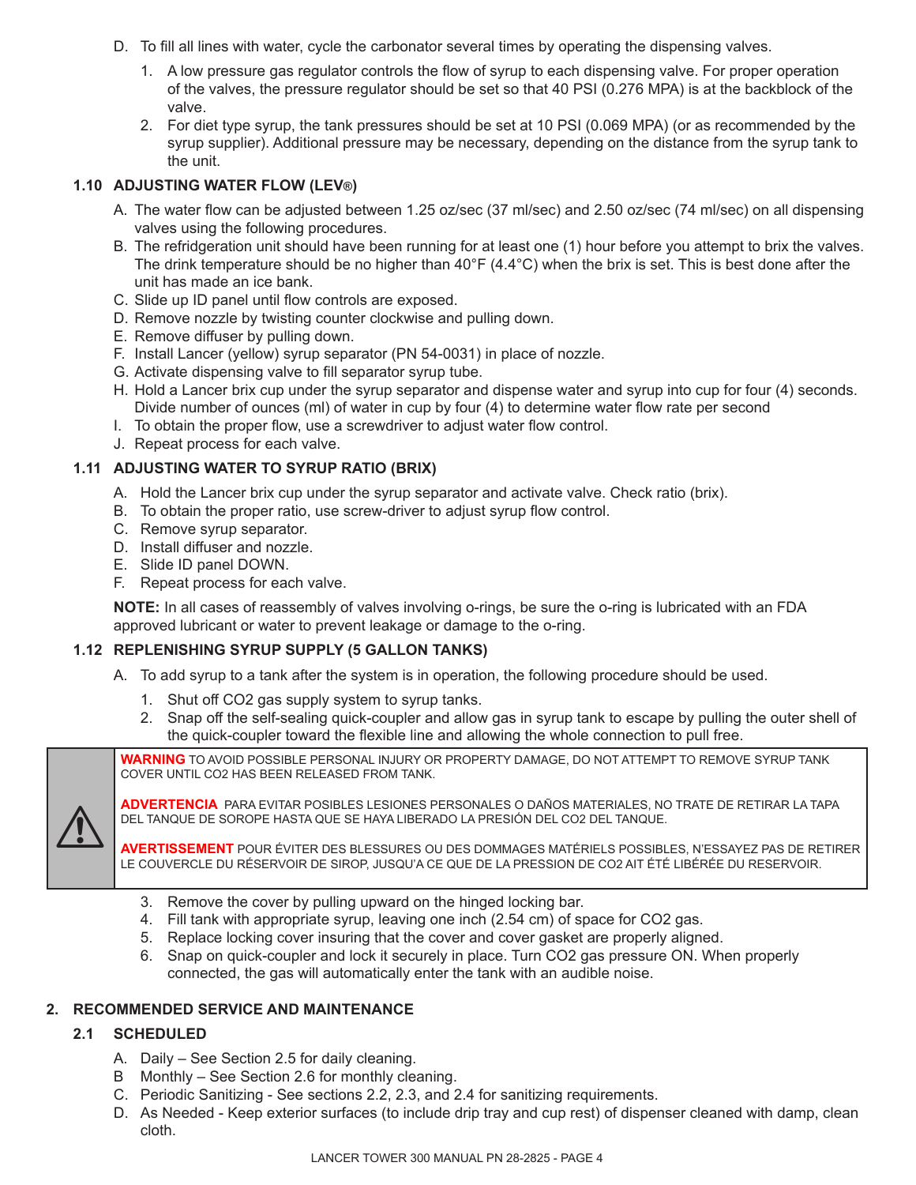- D. To fill all lines with water, cycle the carbonator several times by operating the dispensing valves.
	- 1. A low pressure gas regulator controls the flow of syrup to each dispensing valve. For proper operation of the valves, the pressure regulator should be set so that 40 PSI (0.276 MPA) is at the backblock of the valve.
	- 2. For diet type syrup, the tank pressures should be set at 10 PSI (0.069 MPA) (or as recommended by the syrup supplier). Additional pressure may be necessary, depending on the distance from the syrup tank to the unit.

# **1.10 ADJUSTING WATER FLOW (LEV®)**

- A. The water flow can be adjusted between 1.25 oz/sec (37 ml/sec) and 2.50 oz/sec (74 ml/sec) on all dispensing valves using the following procedures.
- B. The refridgeration unit should have been running for at least one (1) hour before you attempt to brix the valves. The drink temperature should be no higher than  $40^{\circ}F(4.4^{\circ}C)$  when the brix is set. This is best done after the unit has made an ice bank.
- C. Slide up ID panel until flow controls are exposed.
- D. Remove nozzle by twisting counter clockwise and pulling down.
- E. Remove diffuser by pulling down.
- F. Install Lancer (yellow) syrup separator (PN 54-0031) in place of nozzle.
- G. Activate dispensing valve to fill separator syrup tube.
- H. Hold a Lancer brix cup under the syrup separator and dispense water and syrup into cup for four (4) seconds. Divide number of ounces (ml) of water in cup by four (4) to determine water flow rate per second
- I. To obtain the proper flow, use a screwdriver to adjust water flow control.
- J. Repeat process for each valve.

# **1.11 ADJUSTING WATER TO SYRUP RATIO (BRIX)**

- A. Hold the Lancer brix cup under the syrup separator and activate valve. Check ratio (brix).
- B. To obtain the proper ratio, use screw-driver to adjust syrup flow control.
- C. Remove syrup separator.
- D. Install diffuser and nozzle.
- E. Slide ID panel DOWN.
- F. Repeat process for each valve.

 **NOTE:** In all cases of reassembly of valves involving o-rings, be sure the o-ring is lubricated with an FDA approved lubricant or water to prevent leakage or damage to the o-ring.

# **1.12 REPLENISHING SYRUP SUPPLY (5 GALLON TANKS)**

- A. To add syrup to a tank after the system is in operation, the following procedure should be used.
	- 1. Shut off CO2 gas supply system to syrup tanks.
	- 2. Snap off the self-sealing quick-coupler and allow gas in syrup tank to escape by pulling the outer shell of the quick-coupler toward the flexible line and allowing the whole connection to pull free.

**WARNING** TO AVOID POSSIBLE PERSONAL INJURY OR PROPERTY DAMAGE, DO NOT ATTEMPT TO REMOVE SYRUP TANK COVER UNTIL CO2 HAS BEEN RELEASED FROM TANK.



**ADVERTENCIA** PARA EVITAR POSIBLES LESIONES PERSONALES O DAÑOS MATERIALES, NO TRATE DE RETIRAR LA TAPA DEL TANQUE DE SOROPE HASTA QUE SE HAYA LIBERADO LA PRESIÓN DEL CO2 DEL TANQUE.

**AVERTISSEMENT** POUR ÉVITER DES BLESSURES OU DES DOMMAGES MATÉRIELS POSSIBLES, N'ESSAYEZ PAS DE RETIRER LE COUVERCLE DU RÉSERVOIR DE SIROP, JUSQU'A CE QUE DE LA PRESSION DE CO2 AIT ÉTÉ LIBÉRÉE DU RESERVOIR.

- 3. Remove the cover by pulling upward on the hinged locking bar.
- 4. Fill tank with appropriate syrup, leaving one inch (2.54 cm) of space for CO2 gas.
- 5. Replace locking cover insuring that the cover and cover gasket are properly aligned.
- 6. Snap on quick-coupler and lock it securely in place. Turn CO2 gas pressure ON. When properly connected, the gas will automatically enter the tank with an audible noise.

# **2. RECOMMENDED SERVICE AND MAINTENANCE**

# **2.1 SCHEDULED**

- A. Daily See Section 2.5 for daily cleaning.
- B Monthly See Section 2.6 for monthly cleaning.
- C. Periodic Sanitizing See sections 2.2, 2.3, and 2.4 for sanitizing requirements.
- D. As Needed Keep exterior surfaces (to include drip tray and cup rest) of dispenser cleaned with damp, clean cloth.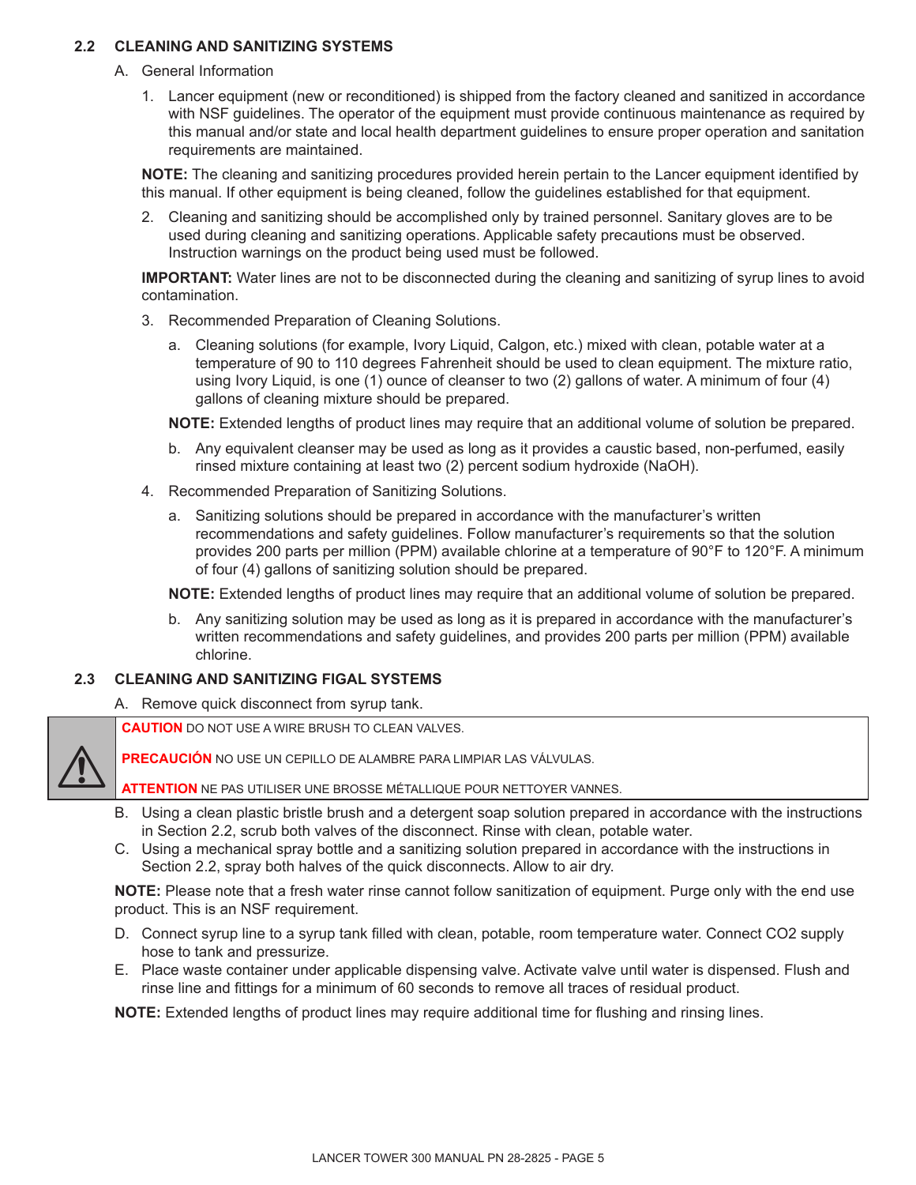# **2.2 CLEANING AND SANITIZING SYSTEMS**

- A. General Information
	- 1. Lancer equipment (new or reconditioned) is shipped from the factory cleaned and sanitized in accordance with NSF guidelines. The operator of the equipment must provide continuous maintenance as required by this manual and/or state and local health department guidelines to ensure proper operation and sanitation requirements are maintained.

 **NOTE:** The cleaning and sanitizing procedures provided herein pertain to the Lancer equipment identified by this manual. If other equipment is being cleaned, follow the guidelines established for that equipment.

 2. Cleaning and sanitizing should be accomplished only by trained personnel. Sanitary gloves are to be used during cleaning and sanitizing operations. Applicable safety precautions must be observed. Instruction warnings on the product being used must be followed.

**IMPORTANT:** Water lines are not to be disconnected during the cleaning and sanitizing of syrup lines to avoid contamination.

- 3. Recommended Preparation of Cleaning Solutions.
	- a. Cleaning solutions (for example, Ivory Liquid, Calgon, etc.) mixed with clean, potable water at a temperature of 90 to 110 degrees Fahrenheit should be used to clean equipment. The mixture ratio, using Ivory Liquid, is one (1) ounce of cleanser to two (2) gallons of water. A minimum of four (4) gallons of cleaning mixture should be prepared.

**NOTE:** Extended lengths of product lines may require that an additional volume of solution be prepared.

- b. Any equivalent cleanser may be used as long as it provides a caustic based, non-perfumed, easily rinsed mixture containing at least two (2) percent sodium hydroxide (NaOH).
- 4. Recommended Preparation of Sanitizing Solutions.
	- a. Sanitizing solutions should be prepared in accordance with the manufacturer's written recommendations and safety guidelines. Follow manufacturer's requirements so that the solution provides 200 parts per million (PPM) available chlorine at a temperature of 90°F to 120°F. A minimum of four (4) gallons of sanitizing solution should be prepared.

**NOTE:** Extended lengths of product lines may require that an additional volume of solution be prepared.

 b. Any sanitizing solution may be used as long as it is prepared in accordance with the manufacturer's written recommendations and safety guidelines, and provides 200 parts per million (PPM) available chlorine.

# **2.3 CLEANING AND SANITIZING FIGAL SYSTEMS**

 $\triangle$ 

A. Remove quick disconnect from syrup tank.

**CAUTION** DO NOT USE A WIRE BRUSH TO CLEAN VALVES.

**PRECAUCIÓN** NO USE UN CEPILLO DE ALAMBRE PARA LIMPIAR LAS VÁLVULAS.

**ATTENTION** NE PAS UTILISER UNE BROSSE MÉTALLIQUE POUR NETTOYER VANNES.

- B. Using a clean plastic bristle brush and a detergent soap solution prepared in accordance with the instructions in Section 2.2, scrub both valves of the disconnect. Rinse with clean, potable water.
- C. Using a mechanical spray bottle and a sanitizing solution prepared in accordance with the instructions in Section 2.2, spray both halves of the quick disconnects. Allow to air dry.

 **NOTE:** Please note that a fresh water rinse cannot follow sanitization of equipment. Purge only with the end use product. This is an NSF requirement.

- D. Connect syrup line to a syrup tank filled with clean, potable, room temperature water. Connect CO2 supply hose to tank and pressurize.
- E. Place waste container under applicable dispensing valve. Activate valve until water is dispensed. Flush and rinse line and fittings for a minimum of 60 seconds to remove all traces of residual product.

**NOTE:** Extended lengths of product lines may require additional time for flushing and rinsing lines.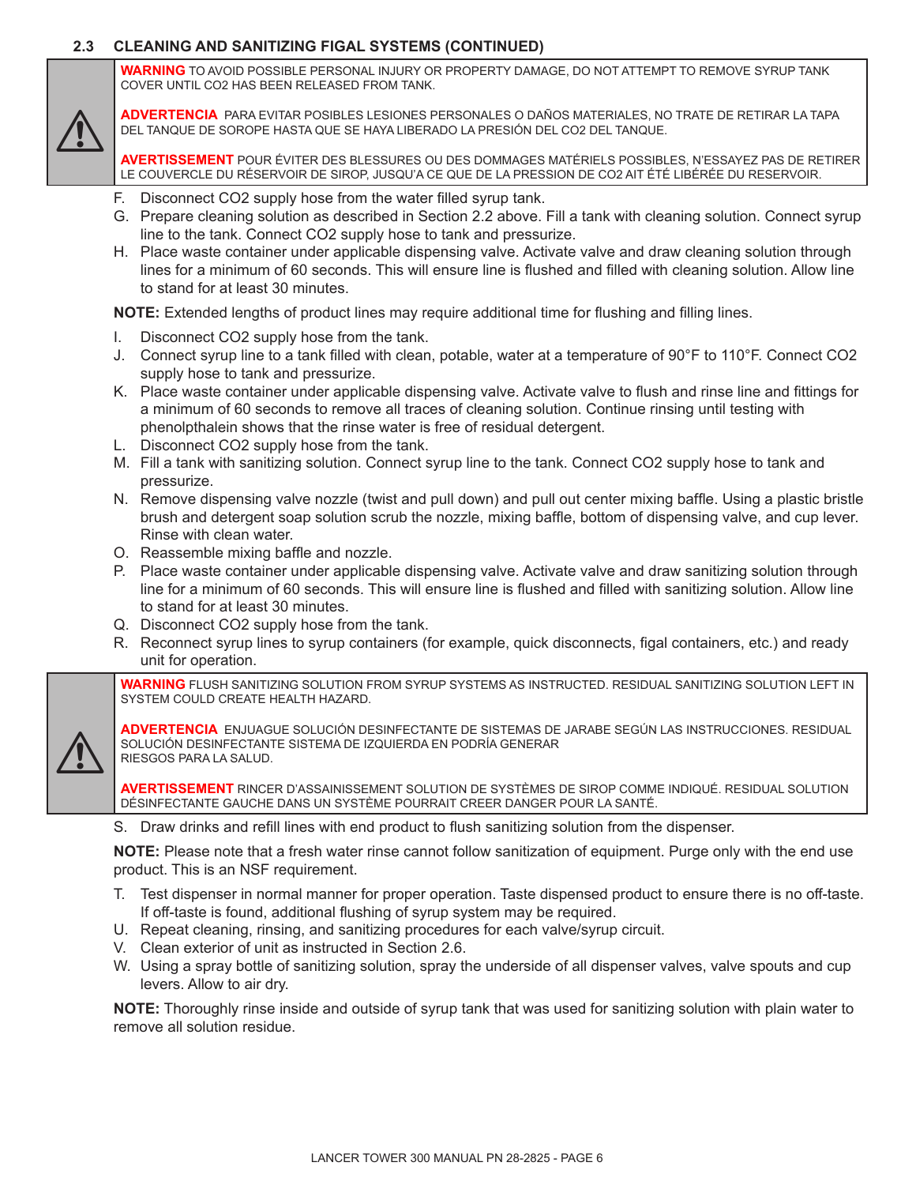# **2.3 CLEANING AND SANITIZING FIGAL SYSTEMS (CONTINUED)**

**WARNING** TO AVOID POSSIBLE PERSONAL INJURY OR PROPERTY DAMAGE, DO NOT ATTEMPT TO REMOVE SYRUP TANK COVER UNTIL CO2 HAS BEEN RELEASED FROM TANK.

 $\triangle$ 

**ADVERTENCIA** PARA EVITAR POSIBLES LESIONES PERSONALES O DAÑOS MATERIALES, NO TRATE DE RETIRAR LA TAPA DEL TANQUE DE SOROPE HASTA QUE SE HAYA LIBERADO LA PRESIÓN DEL CO2 DEL TANQUE.

**AVERTISSEMENT** POUR ÉVITER DES BLESSURES OU DES DOMMAGES MATÉRIELS POSSIBLES, N'ESSAYEZ PAS DE RETIRER LE COUVERCLE DU RÉSERVOIR DE SIROP, JUSQU'A CE QUE DE LA PRESSION DE CO2 AIT ÉTÉ LIBÉRÉE DU RESERVOIR.

- F. Disconnect CO2 supply hose from the water filled syrup tank.
- G. Prepare cleaning solution as described in Section 2.2 above. Fill a tank with cleaning solution. Connect syrup line to the tank. Connect CO2 supply hose to tank and pressurize.
- H. Place waste container under applicable dispensing valve. Activate valve and draw cleaning solution through lines for a minimum of 60 seconds. This will ensure line is flushed and filled with cleaning solution. Allow line to stand for at least 30 minutes.

**NOTE:** Extended lengths of product lines may require additional time for flushing and filling lines.

- I. Disconnect CO2 supply hose from the tank.
- J. Connect syrup line to a tank filled with clean, potable, water at a temperature of 90°F to 110°F. Connect CO2 supply hose to tank and pressurize.
- K. Place waste container under applicable dispensing valve. Activate valve to flush and rinse line and fittings for a minimum of 60 seconds to remove all traces of cleaning solution. Continue rinsing until testing with phenolpthalein shows that the rinse water is free of residual detergent.
- L. Disconnect CO2 supply hose from the tank.
- M. Fill a tank with sanitizing solution. Connect syrup line to the tank. Connect CO2 supply hose to tank and pressurize.
- N. Remove dispensing valve nozzle (twist and pull down) and pull out center mixing baffle. Using a plastic bristle brush and detergent soap solution scrub the nozzle, mixing baffle, bottom of dispensing valve, and cup lever. Rinse with clean water.
- O. Reassemble mixing baffle and nozzle.
- P. Place waste container under applicable dispensing valve. Activate valve and draw sanitizing solution through line for a minimum of 60 seconds. This will ensure line is flushed and filled with sanitizing solution. Allow line to stand for at least 30 minutes.
- Q. Disconnect CO2 supply hose from the tank.
- R. Reconnect syrup lines to syrup containers (for example, quick disconnects, figal containers, etc.) and ready unit for operation.

**WARNING** FLUSH SANITIZING SOLUTION FROM SYRUP SYSTEMS AS INSTRUCTED. RESIDUAL SANITIZING SOLUTION LEFT IN SYSTEM COULD CREATE HEALTH HAZARD.



**ADVERTENCIA** ENJUAGUE SOLUCIÓN DESINFECTANTE DE SISTEMAS DE JARABE SEGÚN LAS INSTRUCCIONES. RESIDUAL SOLUCIÓN DESINFECTANTE SISTEMA DE IZQUIERDA EN PODRÍA GENERAR RIESGOS PARA LA SALUD.

**AVERTISSEMENT** RINCER D'ASSAINISSEMENT SOLUTION DE SYSTÈMES DE SIROP COMME INDIQUÉ. RESIDUAL SOLUTION DÉSINFECTANTE GAUCHE DANS UN SYSTÈME POURRAIT CREER DANGER POUR LA SANTÉ.

S. Draw drinks and refill lines with end product to flush sanitizing solution from the dispenser.

 **NOTE:** Please note that a fresh water rinse cannot follow sanitization of equipment. Purge only with the end use product. This is an NSF requirement.

- T. Test dispenser in normal manner for proper operation. Taste dispensed product to ensure there is no off-taste. If off-taste is found, additional flushing of syrup system may be required.
- U. Repeat cleaning, rinsing, and sanitizing procedures for each valve/syrup circuit.
- V. Clean exterior of unit as instructed in Section 2.6.
- W. Using a spray bottle of sanitizing solution, spray the underside of all dispenser valves, valve spouts and cup levers. Allow to air dry.

 **NOTE:** Thoroughly rinse inside and outside of syrup tank that was used for sanitizing solution with plain water to remove all solution residue.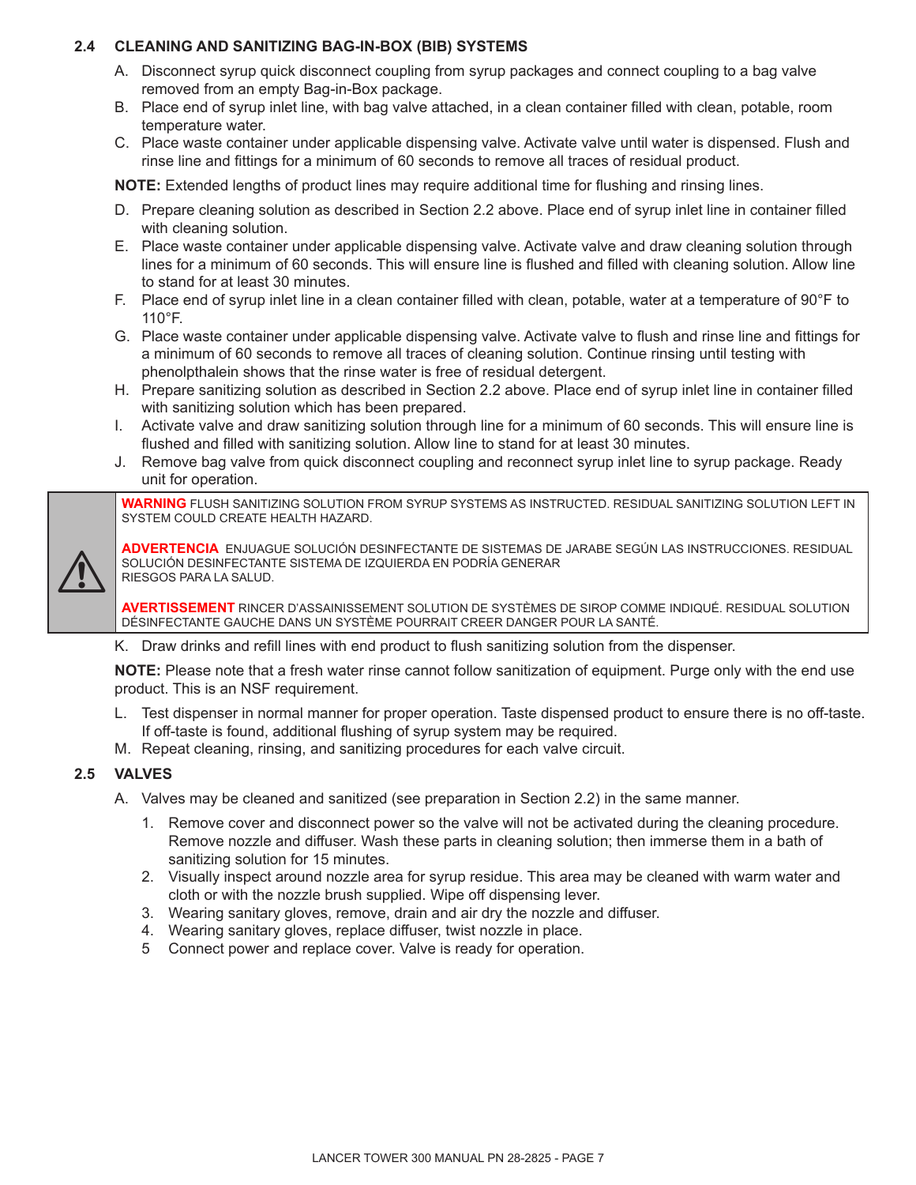# **2.4 CLEANING AND SANITIZING BAG-IN-BOX (BIB) SYSTEMS**

- A. Disconnect syrup quick disconnect coupling from syrup packages and connect coupling to a bag valve removed from an empty Bag-in-Box package.
- B. Place end of syrup inlet line, with bag valve attached, in a clean container filled with clean, potable, room temperature water.
- C. Place waste container under applicable dispensing valve. Activate valve until water is dispensed. Flush and rinse line and fittings for a minimum of 60 seconds to remove all traces of residual product.

**NOTE:** Extended lengths of product lines may require additional time for flushing and rinsing lines.

- D. Prepare cleaning solution as described in Section 2.2 above. Place end of syrup inlet line in container filled with cleaning solution.
- E. Place waste container under applicable dispensing valve. Activate valve and draw cleaning solution through lines for a minimum of 60 seconds. This will ensure line is flushed and filled with cleaning solution. Allow line to stand for at least 30 minutes.
- F. Place end of syrup inlet line in a clean container filled with clean, potable, water at a temperature of 90°F to 110°F.
- G. Place waste container under applicable dispensing valve. Activate valve to flush and rinse line and fittings for a minimum of 60 seconds to remove all traces of cleaning solution. Continue rinsing until testing with phenolpthalein shows that the rinse water is free of residual detergent.
- H. Prepare sanitizing solution as described in Section 2.2 above. Place end of syrup inlet line in container filled with sanitizing solution which has been prepared.
- I. Activate valve and draw sanitizing solution through line for a minimum of 60 seconds. This will ensure line is flushed and filled with sanitizing solution. Allow line to stand for at least 30 minutes.
- J. Remove bag valve from quick disconnect coupling and reconnect syrup inlet line to syrup package. Ready unit for operation.

**WARNING** FLUSH SANITIZING SOLUTION FROM SYRUP SYSTEMS AS INSTRUCTED. RESIDUAL SANITIZING SOLUTION LEFT IN SYSTEM COULD CREATE HEALTH HAZARD.



**ADVERTENCIA** ENJUAGUE SOLUCIÓN DESINFECTANTE DE SISTEMAS DE JARABE SEGÚN LAS INSTRUCCIONES. RESIDUAL SOLUCIÓN DESINFECTANTE SISTEMA DE IZQUIERDA EN PODRÍA GENERAR RIESGOS PARA LA SALUD.

**AVERTISSEMENT** RINCER D'ASSAINISSEMENT SOLUTION DE SYSTÈMES DE SIROP COMME INDIQUÉ. RESIDUAL SOLUTION DÉSINFECTANTE GAUCHE DANS UN SYSTÈME POURRAIT CREER DANGER POUR LA SANTÉ.

K. Draw drinks and refill lines with end product to flush sanitizing solution from the dispenser.

 **NOTE:** Please note that a fresh water rinse cannot follow sanitization of equipment. Purge only with the end use product. This is an NSF requirement.

- L. Test dispenser in normal manner for proper operation. Taste dispensed product to ensure there is no off-taste. If off-taste is found, additional flushing of syrup system may be required.
- M. Repeat cleaning, rinsing, and sanitizing procedures for each valve circuit.

# **2.5 VALVES**

- A. Valves may be cleaned and sanitized (see preparation in Section 2.2) in the same manner.
	- 1. Remove cover and disconnect power so the valve will not be activated during the cleaning procedure. Remove nozzle and diffuser. Wash these parts in cleaning solution; then immerse them in a bath of sanitizing solution for 15 minutes.
	- 2. Visually inspect around nozzle area for syrup residue. This area may be cleaned with warm water and cloth or with the nozzle brush supplied. Wipe off dispensing lever.
	- 3. Wearing sanitary gloves, remove, drain and air dry the nozzle and diffuser.
	- 4. Wearing sanitary gloves, replace diffuser, twist nozzle in place.
	- 5 Connect power and replace cover. Valve is ready for operation.